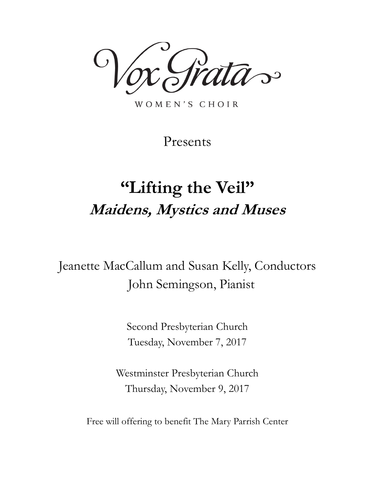ata~

WOMEN'S CHOIR

Presents

# **"Lifting the Veil" Maidens, Mystics and Muses**

Jeanette MacCallum and Susan Kelly, Conductors John Semingson, Pianist

> Second Presbyterian Church Tuesday, November 7, 2017

Westminster Presbyterian Church Thursday, November 9, 2017

Free will offering to benefit The Mary Parrish Center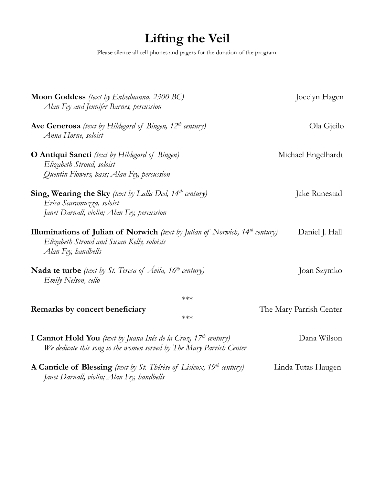# **Lifting the Veil**

Please silence all cell phones and pagers for the duration of the program.

| Moon Goddess (text by Enheduanna, 2300 BC)<br>Alan Fey and Jennifer Barnes, percussion                                                                     |       | Jocelyn Hagen           |
|------------------------------------------------------------------------------------------------------------------------------------------------------------|-------|-------------------------|
| <b>Ave Generosa</b> (text by Hildegard of Bingen, $12^{th}$ century)<br>Anna Horne, soloist                                                                |       | Ola Gjeilo              |
| <b>O Antiqui Sancti</b> (text by Hildegard of Bingen)<br>Elizabeth Stroud, soloist<br>Quentin Flowers, bass; Alan Fey, percussion                          |       | Michael Engelhardt      |
| <b>Sing, Wearing the Sky</b> (text by Lalla Ded, $14$ <sup>th</sup> century)<br>Erica Scaramuzza, soloist<br>Janet Darnall, violin; Alan Fey, percussion   |       | Jake Runestad           |
| <b>Illuminations of Julian of Norwich</b> (text by Julian of Norwich, $14th$ century)<br>Elizabeth Stroud and Susan Kelly, soloists<br>Alan Fey, handbells |       | Daniel J. Hall          |
| <b>Nada te turbe</b> (text by St. Teresa of <i>Avila</i> , 16 <sup>th</sup> century)<br>Emily Nelson, cello                                                |       | Joan Szymko             |
|                                                                                                                                                            | $***$ |                         |
| Remarks by concert beneficiary                                                                                                                             | $***$ | The Mary Parrish Center |
| <b>I Cannot Hold You</b> (text by Juana Inés de la Cruz, $17^{th}$ century)<br>We dedicate this song to the women served by The Mary Parrish Center        |       | Dana Wilson             |
| <b>A Canticle of Blessing</b> (text by St. Thérèse of Lisieux, $19th$ century)<br>Janet Darnall, violin; Alan Fey, handbells                               |       | Linda Tutas Haugen      |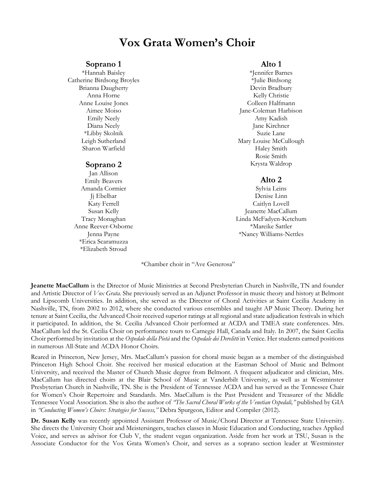## **Vox Grata Women's Choir**

#### **Soprano 1**

\*Hannah Baisley Catherine Birdsong Broyles Brianna Daugherty Anna Horne Anne Louise Jones Aimee Moiso Emily Neely Diana Neely \*Libby Skolnik Leigh Sutherland Sharon Warfield

#### **Soprano 2**

Jan Allison Emily Beavers Amanda Cormier Jj Ebelhar Katy Ferrell Susan Kelly Tracy Monaghan Anne Reever-Osborne Jenna Payne \*Erica Scaramuzza \*Elizabeth Stroud

## **Alto 1**

\*Jennifer Barnes \*Julie Birdsong Devin Bradbury Kelly Christie Colleen Halfmann Jane-Coleman Harbison Amy Kadish Jane Kirchner Suzie Lane Mary Louise McCullough Haley Smith Rosie Smith Krysta Waldrop

## **Alto 2**

Sylvia Leins Denise Linn Caitlyn Lovell Jeanette MacCallum Linda McFadyen-Ketchum \*Mareike Sattler \*Nancy Williams-Nettles

\*Chamber choir in "Ave Generosa"

**Jeanette MacCallum** is the Director of Music Ministries at Second Presbyterian Church in Nashville, TN and founder and Artistic Director of *Vox Grata.* She previously served as an Adjunct Professor in music theory and history at Belmont and Lipscomb Universities. In addition, she served as the Director of Choral Activities at Saint Cecilia Academy in Nashville, TN, from 2002 to 2012, where she conducted various ensembles and taught AP Music Theory. During her tenure at Saint Cecilia, the Advanced Choir received superior ratings at all regional and state adjudication festivals in which it participated. In addition, the St. Cecilia Advanced Choir performed at ACDA and TMEA state conferences. Mrs. MacCallum led the St. Cecilia Choir on performance tours to Carnegie Hall, Canada and Italy. In 2007, the Saint Cecilia Choir performed by invitation at the *Ospedale della Pietà* and the *Ospedale dei Derelitti* in Venice. Her students earned positions in numerous All-State and ACDA Honor Choirs.

Reared in Princeton, New Jersey, Mrs. MacCallum's passion for choral music began as a member of the distinguished Princeton High School Choir. She received her musical education at the Eastman School of Music and Belmont University, and received the Master of Church Music degree from Belmont. A frequent adjudicator and clinician, Mrs. MacCallum has directed choirs at the Blair School of Music at Vanderbilt University, as well as at Westminster Presbyterian Church in Nashville, TN. She is the President of Tennessee ACDA and has served as the Tennessee Chair for Women's Choir Repertoire and Standards. Mrs. MacCallum is the Past President and Treasurer of the Middle Tennessee Vocal Association. She is also the author of *"The Sacred Choral Works of the Venetian Ospedali,"* published by GIA in *"Conducting Women's Choirs: Strategies for Success,"* Debra Spurgeon, Editor and Compiler (2012).

**Dr. Susan Kelly** was recently appointed Assistant Professor of Music/Choral Director at Tennessee State University. She directs the University Choir and Meistersingers, teaches classes in Music Education and Conducting, teaches Applied Voice, and serves as advisor for Club V, the student vegan organization. Aside from her work at TSU, Susan is the Associate Conductor for the Vox Grata Women's Choir, and serves as a soprano section leader at Westminster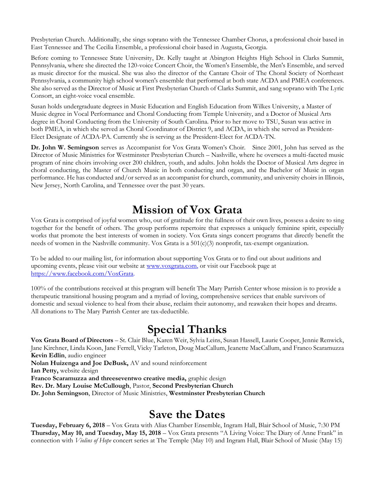Presbyterian Church. Additionally, she sings soprano with the Tennessee Chamber Chorus, a professional choir based in East Tennessee and The Cecilia Ensemble, a professional choir based in Augusta, Georgia.

Before coming to Tennessee State University, Dr. Kelly taught at Abington Heights High School in Clarks Summit, Pennsylvania, where she directed the 120-voice Concert Choir, the Women's Ensemble, the Men's Ensemble, and served as music director for the musical. She was also the director of the Cantare Choir of The Choral Society of Northeast Pennsylvania, a community high school women's ensemble that performed at both state ACDA and PMEA conferences. She also served as the Director of Music at First Presbyterian Church of Clarks Summit, and sang soprano with The Lyric Consort, an eight-voice vocal ensemble.

Susan holds undergraduate degrees in Music Education and English Education from Wilkes University, a Master of Music degree in Vocal Performance and Choral Conducting from Temple University, and a Doctor of Musical Arts degree in Choral Conducting from the University of South Carolina. Prior to her move to TSU, Susan was active in both PMEA, in which she served as Choral Coordinator of District 9, and ACDA, in which she served as President-Elect Designate of ACDA-PA. Currently she is serving as the President-Elect for ACDA-TN.

**Dr. John W. Semingson** serves as Accompanist for Vox Grata Women's Choir. Since 2001, John has served as the Director of Music Ministries for Westminster Presbyterian Church – Nashville, where he oversees a multi-faceted music program of nine choirs involving over 200 children, youth, and adults. John holds the Doctor of Musical Arts degree in choral conducting, the Master of Church Music in both conducting and organ, and the Bachelor of Music in organ performance. He has conducted and/or served as an accompanist for church, community, and university choirs in Illinois, New Jersey, North Carolina, and Tennessee over the past 30 years.

## **Mission of Vox Grata**

Vox Grata is comprised of joyful women who, out of gratitude for the fullness of their own lives, possess a desire to sing together for the benefit of others. The group performs repertoire that expresses a uniquely feminine spirit, especially works that promote the best interests of women in society. Vox Grata sings concert programs that directly benefit the needs of women in the Nashville community. Vox Grata is a 501(c)(3) nonprofit, tax-exempt organization.

To be added to our mailing list, for information about supporting Vox Grata or to find out about auditions and upcoming events, please visit our website at [www.voxgrata.com,](http://www.voxgrata.com/) or visit our Facebook page at [https://www.facebook.com/VoxGrata.](https://www.facebook.com/VoxGrata)

100% of the contributions received at this program will benefit The Mary Parrish Center whose mission is to provide a therapeutic transitional housing program and a myriad of loving, comprehensive services that enable survivors of domestic and sexual violence to heal from their abuse, reclaim their autonomy, and reawaken their hopes and dreams. All donations to The Mary Parrish Center are tax-deductible.

## **Special Thanks**

**Vox Grata Board of Directors** – St. Clair Blue, Karen Weir, Sylvia Leins, Susan Hassell, Laurie Cooper, Jennie Renwick, Jane Kirchner, Linda Koon, Jane Ferrell, Vicky Tarleton, Doug MacCallum, Jeanette MacCallum, and Franco Scaramuzza **Kevin Edlin**, audio engineer

**Nolan Huizenga and Joe DeBusk,** AV and sound reinforcement **Ian Petty,** website design **Franco Scaramuzza and threeseventwo creative media,** graphic design **Rev. Dr. Mary Louise McCullough**, Pastor, **Second Presbyterian Church Dr. John Semingson**, Director of Music Ministries, **Westminster Presbyterian Church**

## **Save the Dates**

**Tuesday, February 6, 2018** – Vox Grata with Alias Chamber Ensemble, Ingram Hall, Blair School of Music, 7:30 PM **Thursday, May 10, and Tuesday, May 15, 2018** – Vox Grata presents "A Living Voice: The Diary of Anne Frank" in connection with *Violins of Hope* concert series at The Temple (May 10) and Ingram Hall, Blair School of Music (May 15)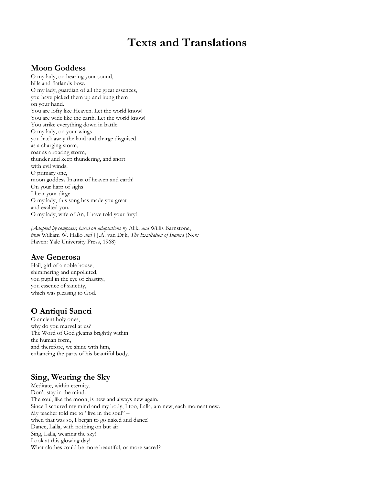## **Texts and Translations**

## **Moon Goddess**

O my lady, on hearing your sound, hills and flatlands bow. O my lady, guardian of all the great essences, you have picked them up and hung them on your hand. You are lofty like Heaven. Let the world know! You are wide like the earth. Let the world know! You strike everything down in battle. O my lady, on your wings you hack away the land and charge disguised as a charging storm, roar as a roaring storm, thunder and keep thundering, and snort with evil winds. O primary one, moon goddess Inanna of heaven and earth! On your harp of sighs I hear your dirge. O my lady, this song has made you great and exalted you. O my lady, wife of An, I have told your fury!

*(Adapted by composer, based on adaptations by* Aliki *and* Willis Barnstone, *from* William W. Hallo *and* J.J.A. van Dijk, *The Exaltation of Inanna* (New Haven: Yale University Press, 1968)

## **Ave Generosa**

Hail, girl of a noble house, shimmering and unpolluted, you pupil in the eye of chastity, you essence of sanctity, which was pleasing to God.

## **O Antiqui Sancti**

O ancient holy ones, why do you marvel at us? The Word of God gleams brightly within the human form, and therefore, we shine with him, enhancing the parts of his beautiful body.

## **Sing, Wearing the Sky**

Meditate, within eternity. Don't stay in the mind. The soul, like the moon, is new and always new again. Since I scoured my mind and my body, I too, Lalla, am new, each moment new. My teacher told me to "live in the soul" – when that was so, I began to go naked and dance! Dance, Lalla, with nothing on but air! Sing, Lalla, wearing the sky! Look at this glowing day! What clothes could be more beautiful, or more sacred?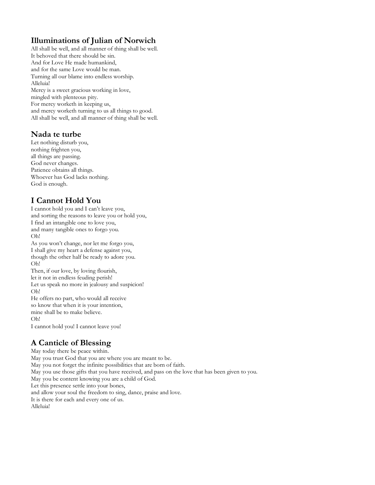## **Illuminations of Julian of Norwich**

All shall be well, and all manner of thing shall be well. It behoved that there should be sin. And for Love He made humankind, and for the same Love would be man. Turning all our blame into endless worship. Alleluia! Mercy is a sweet gracious working in love, mingled with plenteous pity. For mercy worketh in keeping us, and mercy worketh turning to us all things to good. All shall be well, and all manner of thing shall be well.

## **Nada te turbe**

Let nothing disturb you, nothing frighten you, all things are passing. God never changes. Patience obtains all things. Whoever has God lacks nothing. God is enough.

## **I Cannot Hold You**

I cannot hold you and I can't leave you, and sorting the reasons to leave you or hold you, I find an intangible one to love you, and many tangible ones to forgo you. Oh! As you won't change, nor let me forgo you,

I shall give my heart a defense against you, though the other half be ready to adore you. Oh!

Then, if our love, by loving flourish, let it not in endless feuding perish! Let us speak no more in jealousy and suspicion! Oh! He offers no part, who would all receive

so know that when it is your intention, mine shall be to make believe. Oh!

I cannot hold you! I cannot leave you!

## **A Canticle of Blessing**

May today there be peace within. May you trust God that you are where you are meant to be. May you not forget the infinite possibilities that are born of faith. May you use those gifts that you have received, and pass on the love that has been given to you. May you be content knowing you are a child of God. Let this presence settle into your bones, and allow your soul the freedom to sing, dance, praise and love. It is there for each and every one of us. Alleluia!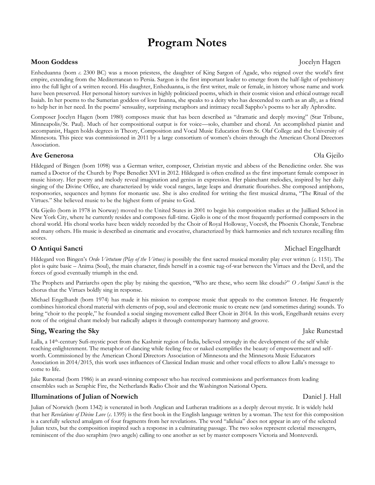## **Program Notes**

### **Moon Goddess Jocelyn Hagen**

Enheduanna (born *c*. 2300 BC) was a moon priestess, the daughter of King Sargon of Agade, who reigned over the world's first empire, extending from the Mediterranean to Persia. Sargon is the first important leader to emerge from the half-light of prehistory into the full light of a written record. His daughter, Enheduanna, is the first writer, male or female, in history whose name and work have been preserved. Her personal history survives in highly politicized poems, which in their cosmic vision and ethical outrage recall Isaiah. In her poems to the Sumerian goddess of love Inanna, she speaks to a deity who has descended to earth as an ally, as a friend to help her in her need. In the poems' sensuality, surprising metaphors and intimacy recall Sappho's poems to her ally Aphrodite.

Composer Jocelyn Hagen (born 1980) composes music that has been described as "dramatic and deeply moving" (Star Tribune, Minneapolis/St. Paul). Much of her compositional output is for voice—solo, chamber and choral. An accomplished pianist and accompanist, Hagen holds degrees in Theory, Composition and Vocal Music Education from St. Olaf College and the University of Minnesota. This piece was commissioned in 2011 by a large consortium of women's choirs through the American Choral Directors Association.

### **Ave Generosa** Ola Gjeilo

Hildegard of Bingen (born 1098) was a German writer, composer, Christian mystic and abbess of the Benedictine order. She was named a Doctor of the Church by Pope Benedict XVI in 2012. Hildegard is often credited as the first important female composer in music history. Her poetry and melody reveal imagination and genius in expression. Her plainchant melodies, inspired by her daily singing of the Divine Office, are characterized by wide vocal ranges, large leaps and dramatic flourishes. She composed antiphons, responsories, sequences and hymns for monastic use. She is also credited for writing the first musical drama, "The Ritual of the Virtues." She believed music to be the highest form of praise to God.

Ola Gjeilo (born in 1978 in Norway) moved to the United States in 2001 to begin his composition studies at the Juilliard School in New York City, where he currently resides and composes full-time. Gjeilo is one of the most frequently performed composers in the choral world. His choral works have been widely recorded by the Choir of Royal Holloway, Voces8, the Phoenix Chorale, Tenebrae and many others. His music is described as cinematic and evocative, characterized by thick harmonies and rich textures recalling film scores.

Hildegard von Bingen's *Ordo Virtutum (Play of the Virtues)* is possibly the first sacred musical morality play ever written (*c*. 1151). The plot is quite basic – Anima (Soul), the main character, finds herself in a cosmic tug-of-war between the Virtues and the Devil, and the forces of good eventually triumph in the end.

The Prophets and Patriarchs open the play by raising the question, "Who are these, who seem like clouds?" *O Antiqui Sancti* is the chorus that the Virtues boldly sing in response.

Michael Engelhardt (born 1974) has made it his mission to compose music that appeals to the common listener. He frequently combines historical choral material with elements of pop, soul and electronic music to create new (and sometimes daring) sounds. To bring "choir to the people," he founded a social singing movement called Beer Choir in 2014. In this work, Engelhardt retains every note of the original chant melody but radically adapts it through contemporary harmony and groove.

## **Sing, Wearing the Sky** *Jake Runestad Jake Runestad*

Lalla, a 14<sup>th</sup>-century Sufi-mystic poet from the Kashmir region of India, believed strongly in the development of the self while reaching enlightenment. The metaphor of dancing while feeling free or naked exemplifies the beauty of empowerment and selfworth. Commissioned by the American Choral Directors Association of Minnesota and the Minnesota Music Educators Association in 2014/2015, this work uses influences of Classical Indian music and other vocal effects to allow Lalla's message to come to life.

Jake Runestad (born 1986) is an award-winning composer who has received commissions and performances from leading ensembles such as Seraphic Fire, the Netherlands Radio Choir and the Washington National Opera.

## **Illuminations of Julian of Norwich**  Daniel J. Hall

Julian of Norwich (born 1342) is venerated in both Anglican and Lutheran traditions as a deeply devout mystic. It is widely held that her *Revelations of Divine Love* (*c*. 1395) is the first book in the English language written by a woman. The text for this composition is a carefully selected amalgam of four fragments from her revelations. The word "alleluia" does not appear in any of the selected Julian texts, but the composition inspired such a response in a culminating passage. The two solos represent celestial messengers, reminiscent of the duo seraphim (two angels) calling to one another as set by master composers Victoria and Monteverdi.

## **O Antiqui Sancti O Antiqui Sancti O Antiqui Sancti Michael Engelhardt**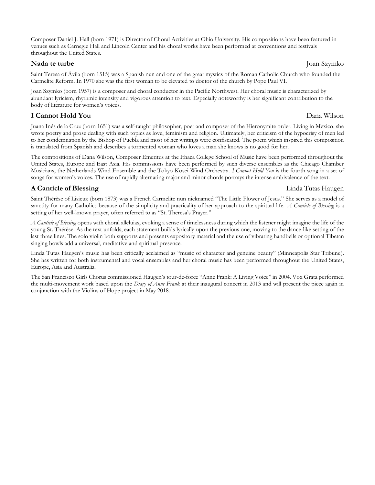Composer Daniel J. Hall (born 1971) is Director of Choral Activities at Ohio University. His compositions have been featured in venues such as Carnegie Hall and Lincoln Center and his choral works have been performed at conventions and festivals throughout the United States.

### **Nada te turbe** Joan Szymko

Saint Teresa of Ávila (born 1515) was a Spanish nun and one of the great mystics of the Roman Catholic Church who founded the Carmelite Reform. In 1970 she was the first woman to be elevated to doctor of the church by Pope Paul VI.

Joan Szymko (born 1957) is a composer and choral conductor in the Pacific Northwest. Her choral music is characterized by abundant lyricism, rhythmic intensity and vigorous attention to text. Especially noteworthy is her significant contribution to the body of literature for women's voices.

## **I Cannot Hold You** Dana Wilson

Juana Inés de la Cruz (born 1651) was a self-taught philosopher, poet and composer of the Hieronymite order. Living in Mexico, she wrote poetry and prose dealing with such topics as love, feminism and religion. Ultimately, her criticism of the hypocrisy of men led to her condemnation by the Bishop of Puebla and most of her writings were confiscated. The poem which inspired this composition is translated from Spanish and describes a tormented woman who loves a man she knows is no good for her.

The compositions of Dana Wilson, Composer Emeritus at the Ithaca College School of Music have been performed throughout the United States, Europe and East Asia. His commissions have been performed by such diverse ensembles as the Chicago Chamber Musicians, the Netherlands Wind Ensemble and the Tokyo Kosei Wind Orchestra. *I Cannot Hold You* is the fourth song in a set of songs for women's voices. The use of rapidly alternating major and minor chords portrays the intense ambivalence of the text.

## **A Canticle of Blessing Linda Tutas Haugen**

Saint Thérèse of Lisieux (born 1873) was a French Carmelite nun nicknamed "The Little Flower of Jesus." She serves as a model of sanctity for many Catholics because of the simplicity and practicality of her approach to the spiritual life. *A Canticle of Blessing* is a setting of her well-known prayer, often referred to as "St. Theresa's Prayer."

*A Canticle of Blessing* opens with choral alleluias, evoking a sense of timelessness during which the listener might imagine the life of the young St. Thérèse. As the text unfolds, each statement builds lyrically upon the previous one, moving to the dance-like setting of the last three lines. The solo violin both supports and presents expository material and the use of vibrating handbells or optional Tibetan singing bowls add a universal, meditative and spiritual presence.

Linda Tutas Haugen's music has been critically acclaimed as "music of character and genuine beauty" (Minneapolis Star Tribune). She has written for both instrumental and vocal ensembles and her choral music has been performed throughout the United States, Europe, Asia and Australia.

The San Francisco Girls Chorus commissioned Haugen's tour-de-force "Anne Frank: A Living Voice" in 2004. Vox Grata performed the multi-movement work based upon the *Diary of Anne Frank* at their inaugural concert in 2013 and will present the piece again in conjunction with the Violins of Hope project in May 2018.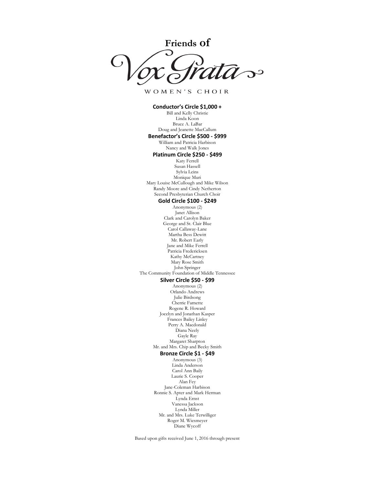**Friends of**  $\mathbf{C}$ 

WOMEN'S CHOIR

#### **Conductor's Circle \$1,000 +** Bill and Kelly Christie Linda Koon Bruce A. LaBar Doug and Jeanette MacCallum **Benefactor's Circle \$500 - \$999** William and Patricia Harbison Nancy and Walk Jones **Platinum Circle \$250 - \$499** Katy Ferrell Susan Hassell Sylvia Leins Monique Muri Mary Louise McCullough and Mike Wilson Randy Moore and Cindy Netherton Second Presbyterian Church Choir **Gold Circle \$100 - \$249** Anonymous (2) Janet Allison Clark and Carolyn Baker George and St. Clair Blue Carol Callaway-Lane Martha Bess Dewitt Mr. Robert Early Jane and Mike Ferrell Patricia Fredericksen Kathy McCartney Mary Rose Smith John Springer The Community Foundation of Middle Tennessee **Silver Circle \$50 - \$99** Anonymous (2) Orlando Andrews Julie Birdsong Cherrie Farnette Rogene R. Howard Jocelyn and Jonathan Kasper Frances Bailey Linley Perry A. Macdonald Diana Neely Gayle Ray Margaret Sharpton Mr. and Mrs. Chip and Becky Smith **Bronze Circle \$1 - \$49** Anonymous (3) Linda Anderson Carol Ann Baily Laurie S. Cooper Alan Fey Jane-Coleman Harbison Ronnie S. Apter and Mark Herman Lynda Ernst Vanessa Jackson Lynda Miller Mr. and Mrs. Luke Terwilliger Roger M. Wiesmeyer Diane Wycoff

Based upon gifts received June 1, 2016 through present